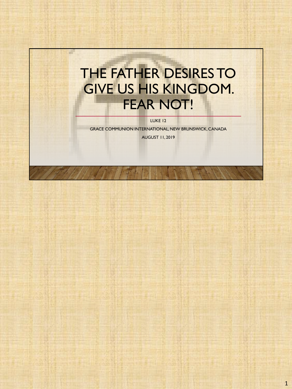# THE FATHER DESIRES TO GIVE US HIS KINGDOM. FEAR NOT!

a.

LUKE 12

GRACE COMMUNION INTERNATIONAL, NEW BRUNSWICK, CANADA AUGUST 11, 2019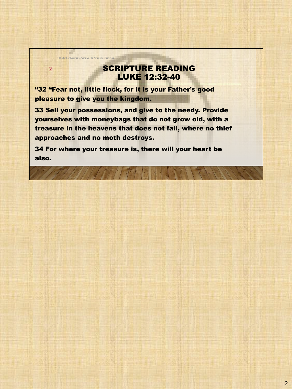## SCRIPTURE READING LUKE 12:32-40

"32 "Fear not, little flock, for it is your Father's good pleasure to give you the kingdom.

2

The Father Desires to Give Us His Kingdom. Fear

33 Sell your possessions, and give to the needy. Provide yourselves with moneybags that do not grow old, with a treasure in the heavens that does not fail, where no thief approaches and no moth destroys.

34 For where your treasure is, there will your heart be also.

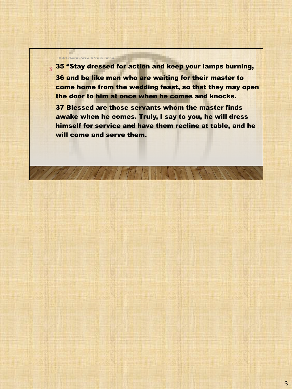3 35 "Stay dressed for action and keep your lamps burning, 36 and be like men who are waiting for their master to come home from the wedding feast, so that they may open the door to him at once when he comes and knocks. 37 Blessed are those servants whom the master finds awake when he comes. Truly, I say to you, he will dress himself for service and have them recline at table, and he will come and serve them.

The Father Desires to Give Us His Kingdom. Fear Not!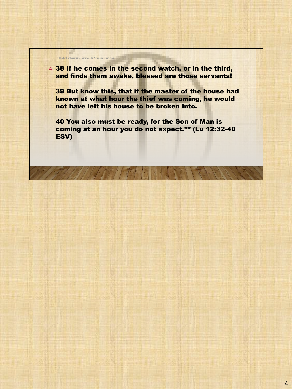4 38 If he comes in the second watch, or in the third, and finds them awake, blessed are those servants!

The Father Desires to Give Us His Kingdom. Fear No

a.

39 But know this, that if the master of the house had known at what hour the thief was coming, he would not have left his house to be broken into.

40 You also must be ready, for the Son of Man is coming at an hour you do not expect."" (Lu 12:32-40 ESV)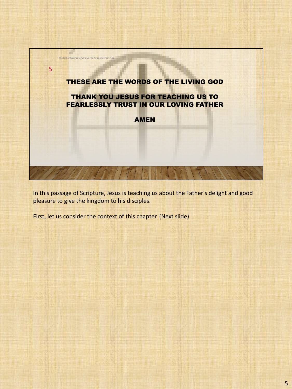

In this passage of Scripture, Jesus is teaching us about the Father's delight and good pleasure to give the kingdom to his disciples.

First, let us consider the context of this chapter. (Next slide)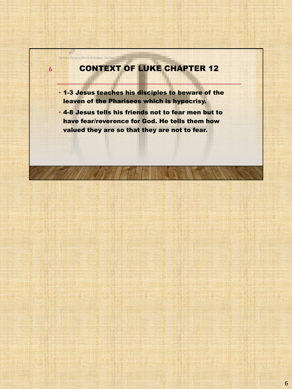## CONTEXT OF LUKE CHAPTER 12

• 1-3 Jesus teaches his disciples to beware of the leaven of the Pharisees which is hypocrisy.

6

The Father Desires to Give Us His Kingdom. Fear Not

a.

• 4-8 Jesus tells his friends not to fear men but to have fear/reverence for God. He tells them how valued they are so that they are not to fear.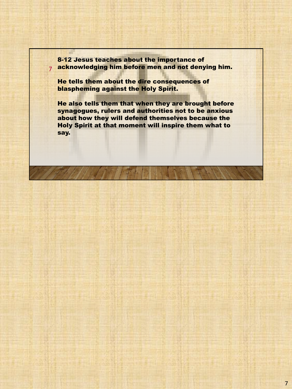7 acknowledging him before men and not denying him. 8-12 Jesus teaches about the importance of

He tells them about the dire consequences of blaspheming against the Holy Spirit.

He also tells them that when they are brought before synagogues, rulers and authorities not to be anxious about how they will defend themselves because the Holy Spirit at that moment will inspire them what to say.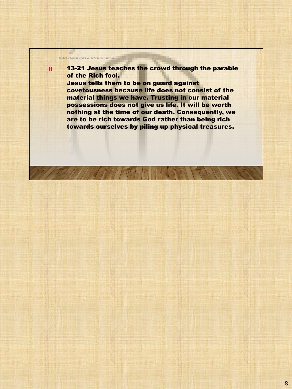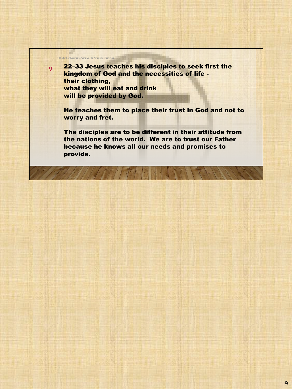22–33 Jesus teaches his disciples to seek first the kingdom of God and the necessities of life their clothing, what they will eat and drink will be provided by God.

9

The Father Desires to Give Us His Kingdom. Fear Not!

He teaches them to place their trust in God and not to worry and fret.

The disciples are to be different in their attitude from the nations of the world. We are to trust our Father because he knows all our needs and promises to provide.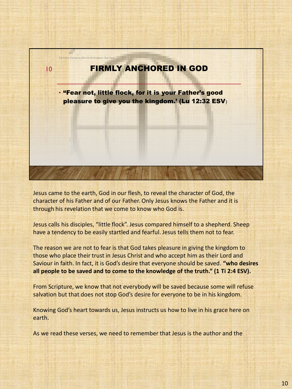

Jesus came to the earth, God in our flesh, to reveal the character of God, the character of his Father and of our Father. Only Jesus knows the Father and it is through his revelation that we come to know who God is.

Jesus calls his disciples, "little flock". Jesus compared himself to a shepherd. Sheep have a tendency to be easily startled and fearful. Jesus tells them not to fear.

The reason we are not to fear is that God takes pleasure in giving the kingdom to those who place their trust in Jesus Christ and who accept him as their Lord and Saviour in faith. In fact, it is God's desire that everyone should be saved. **"who desires all people to be saved and to come to the knowledge of the truth." (1 Ti 2:4 ESV).**

From Scripture, we know that not everybody will be saved because some will refuse salvation but that does not stop God's desire for everyone to be in his kingdom.

Knowing God's heart towards us, Jesus instructs us how to live in his grace here on earth.

As we read these verses, we need to remember that Jesus is the author and the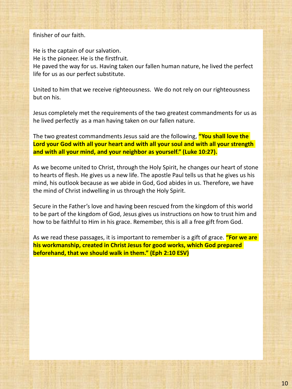### finisher of our faith.

He is the captain of our salvation. He is the pioneer. He is the firstfruit. He paved the way for us. Having taken our fallen human nature, he lived the perfect life for us as our perfect substitute.

United to him that we receive righteousness. We do not rely on our righteousness but on his.

Jesus completely met the requirements of the two greatest commandments for us as he lived perfectly as a man having taken on our fallen nature.

The two greatest commandments Jesus said are the following, **"You shall love the Lord your God with all your heart and with all your soul and with all your strength and with all your mind, and your neighbor as yourself." (Luke 10:27).**

As we become united to Christ, through the Holy Spirit, he changes our heart of stone to hearts of flesh. He gives us a new life. The apostle Paul tells us that he gives us his mind, his outlook because as we abide in God, God abides in us. Therefore, we have the mind of Christ indwelling in us through the Holy Spirit.

Secure in the Father's love and having been rescued from the kingdom of this world to be part of the kingdom of God, Jesus gives us instructions on how to trust him and how to be faithful to Him in his grace. Remember, this is all a free gift from God.

As we read these passages, it is important to remember is a gift of grace. **"For we are his workmanship, created in Christ Jesus for good works, which God prepared beforehand, that we should walk in them." (Eph 2:10 ESV)**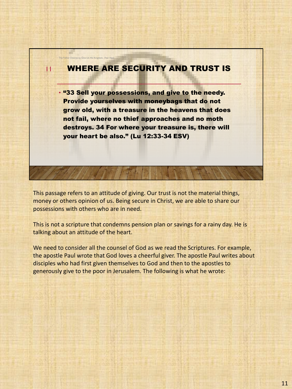## WHERE ARE SECURITY AND TRUST IS

11

The Father Desires to Give Us His Kingdom. Fear I

• "33 Sell your possessions, and give to the needy. Provide yourselves with moneybags that do not grow old, with a treasure in the heavens that does not fail, where no thief approaches and no moth destroys. 34 For where your treasure is, there will your heart be also." (Lu 12:33-34 ESV)

This passage refers to an attitude of giving. Our trust is not the material things, money or others opinion of us. Being secure in Christ, we are able to share our possessions with others who are in need.

This is not a scripture that condemns pension plan or savings for a rainy day. He is talking about an attitude of the heart.

We need to consider all the counsel of God as we read the Scriptures. For example, the apostle Paul wrote that God loves a cheerful giver. The apostle Paul writes about disciples who had first given themselves to God and then to the apostles to generously give to the poor in Jerusalem. The following is what he wrote: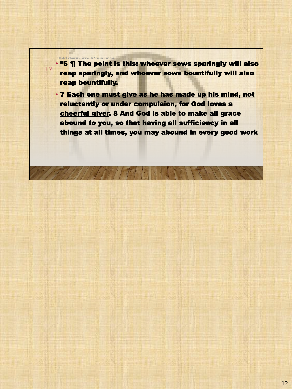• "6 ¶ The point is this: whoever sows sparingly will also reap sparingly, and whoever sows bountifully will also reap bountifully.

12

The Father Desires to Give Us His Kingdom. Fear Not!

• 7 Each one must give as he has made up his mind, not reluctantly or under compulsion, for God loves a cheerful giver. 8 And God is able to make all grace abound to you, so that having all sufficiency in all things at all times, you may abound in every good work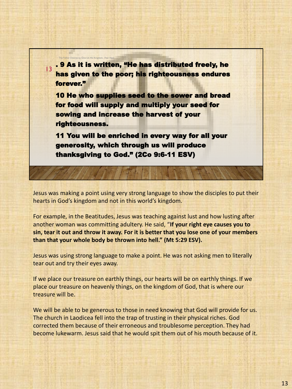13 . 9 As it is written, "He has distributed freely, he has given to the poor; his righteousness endures forever."

The Father Desires to Give Us His Kingdom.

10 He who supplies seed to the sower and bread for food will supply and multiply your seed for sowing and increase the harvest of your righteousness.

11 You will be enriched in every way for all your generosity, which through us will produce thanksgiving to God." (2Co 9:6-11 ESV)

Jesus was making a point using very strong language to show the disciples to put their hearts in God's kingdom and not in this world's kingdom.

For example, in the Beatitudes, Jesus was teaching against lust and how lusting after another woman was committing adultery. He said, "**If your right eye causes you to sin, tear it out and throw it away. For it is better that you lose one of your members than that your whole body be thrown into hell." (Mt 5:29 ESV).**

Jesus was using strong language to make a point. He was not asking men to literally tear out and try their eyes away.

If we place our treasure on earthly things, our hearts will be on earthly things. If we place our treasure on heavenly things, on the kingdom of God, that is where our treasure will be.

We will be able to be generous to those in need knowing that God will provide for us. The church in Laodicea fell into the trap of trusting in their physical riches. God corrected them because of their erroneous and troublesome perception. They had become lukewarm. Jesus said that he would spit them out of his mouth because of it.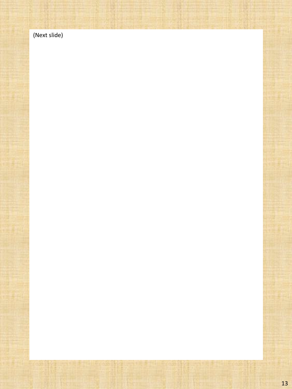(Next slide)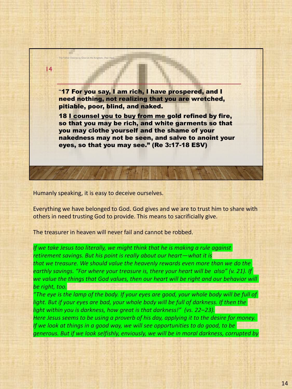

Humanly speaking, it is easy to deceive ourselves.

Everything we have belonged to God. God gives and we are to trust him to share with others in need trusting God to provide. This means to sacrificially give.

The treasurer in heaven will never fail and cannot be robbed.

*If we take Jesus too literally, we might think that he is making a rule against retirement savings. But his point is really about our heart—what it is that we treasure. We should value the heavenly rewards even more than we do the earthly savings. "For where your treasure is, there your heart will be also" (v. 21). If we value the things that God values, then our heart will be right and our behavior will be right, too.*

*"The eye is the lamp of the body. If your eyes are good, your whole body will be full of light. But if your eyes are bad, your whole body will be full of darkness. If then the light within you is darkness, how great is that darkness!" (vs. 22–23). Here Jesus seems to be using a proverb of his day, applying it to the desire for money. If we look at things in a good way, we will see opportunities to do good, to be generous. But if we look selfishly, enviously, we will be in moral darkness, corrupted by*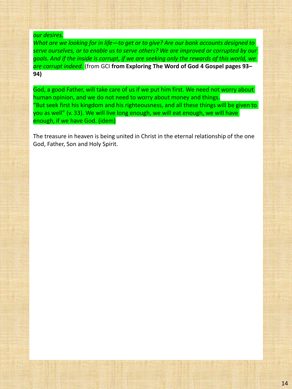#### *our desires.*

*What are we looking for in life—to get or to give? Are our bank accounts designed to serve ourselves, or to enable us to serve others? We are improved or corrupted by our goals. And if the inside is corrupt, if we are seeking only the rewards of this world, we are corrupt indeed.* (from GCI **from Exploring The Word of God 4 Gospel pages 93– 94)**

God, a good Father, will take care of us if we put him first. We need not worry about human opinion, and we do not need to worry about money and things. "But seek first his kingdom and his righteousness, and all these things will be given to you as well" (v. 33). We will live long enough, we will eat enough, we will have enough, if we have God. (idem)

The treasure in heaven is being united in Christ in the eternal relationship of the one God, Father, Son and Holy Spirit.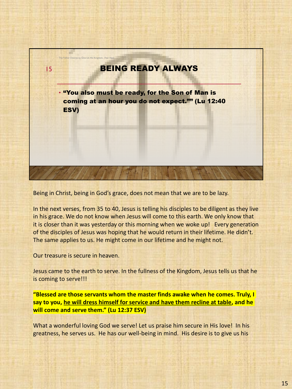

Being in Christ, being in God's grace, does not mean that we are to be lazy.

In the next verses, from 35 to 40, Jesus is telling his disciples to be diligent as they live in his grace. We do not know when Jesus will come to this earth. We only know that it is closer than it was yesterday or this morning when we woke up! Every generation of the disciples of Jesus was hoping that he would return in their lifetime. He didn't. The same applies to us. He might come in our lifetime and he might not.

Our treasure is secure in heaven.

Jesus came to the earth to serve. In the fullness of the Kingdom, Jesus tells us that he is coming to serve!!!

**"Blessed are those servants whom the master finds awake when he comes. Truly, I say to you, he will dress himself for service and have them recline at table, and he will come and serve them." (Lu 12:37 ESV)**

What a wonderful loving God we serve! Let us praise him secure in His love! In his greatness, he serves us. He has our well-being in mind. His desire is to give us his